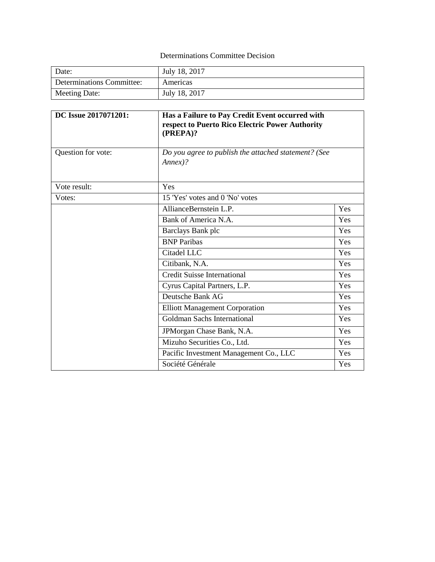# Determinations Committee Decision

| Date:                     | July 18, 2017 |
|---------------------------|---------------|
| Determinations Committee: | Americas      |
| Meeting Date:             | July 18, 2017 |

| DC Issue 2017071201: | Has a Failure to Pay Credit Event occurred with<br>respect to Puerto Rico Electric Power Authority<br>(PREPA)? |     |
|----------------------|----------------------------------------------------------------------------------------------------------------|-----|
| Question for vote:   | Do you agree to publish the attached statement? (See<br>$Annex$ ?                                              |     |
| Vote result:         | Yes                                                                                                            |     |
| Votes:               | 15 'Yes' votes and 0 'No' votes                                                                                |     |
|                      | AllianceBernstein L.P.                                                                                         | Yes |
|                      | Bank of America N.A.                                                                                           | Yes |
|                      | Barclays Bank plc                                                                                              | Yes |
|                      | <b>BNP</b> Paribas                                                                                             | Yes |
|                      | Citadel LLC                                                                                                    | Yes |
|                      | Citibank, N.A.                                                                                                 | Yes |
|                      | <b>Credit Suisse International</b>                                                                             | Yes |
|                      | Cyrus Capital Partners, L.P.                                                                                   | Yes |
|                      | Deutsche Bank AG                                                                                               | Yes |
|                      | <b>Elliott Management Corporation</b>                                                                          | Yes |
|                      | Goldman Sachs International                                                                                    | Yes |
|                      | JPMorgan Chase Bank, N.A.                                                                                      | Yes |
|                      | Mizuho Securities Co., Ltd.                                                                                    | Yes |
|                      | Pacific Investment Management Co., LLC                                                                         | Yes |
|                      | Société Générale                                                                                               | Yes |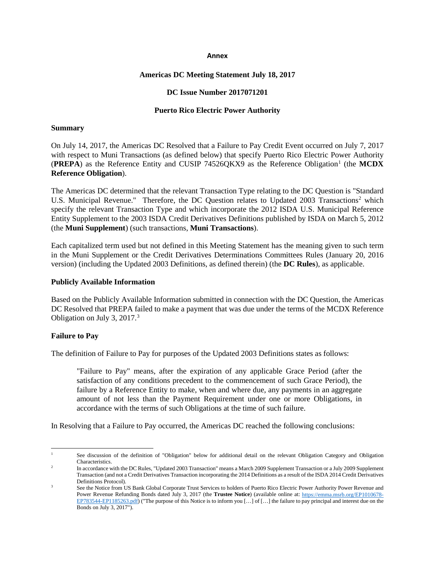#### **Annex**

### **Americas DC Meeting Statement July 18, 2017**

#### **DC Issue Number 2017071201**

#### **Puerto Rico Electric Power Authority**

#### **Summary**

On July 14, 2017, the Americas DC Resolved that a Failure to Pay Credit Event occurred on July 7, 2017 with respect to Muni Transactions (as defined below) that specify Puerto Rico Electric Power Authority (**PREPA**) as the Reference Entity and CUSIP 74526QKX9 as the Reference Obligation<sup>1</sup> (the **MCDX Reference Obligation**).

The Americas DC determined that the relevant Transaction Type relating to the DC Question is "Standard U.S. Municipal Revenue." Therefore, the DC Question relates to Updated [2](#page-1-1)003 Transactions<sup>2</sup> which specify the relevant Transaction Type and which incorporate the 2012 ISDA U.S. Municipal Reference Entity Supplement to the 2003 ISDA Credit Derivatives Definitions published by ISDA on March 5, 2012 (the **Muni Supplement**) (such transactions, **Muni Transactions**).

Each capitalized term used but not defined in this Meeting Statement has the meaning given to such term in the Muni Supplement or the Credit Derivatives Determinations Committees Rules (January 20, 2016 version) (including the Updated 2003 Definitions, as defined therein) (the **DC Rules**), as applicable.

#### **Publicly Available Information**

Based on the Publicly Available Information submitted in connection with the DC Question, the Americas DC Resolved that PREPA failed to make a payment that was due under the terms of the MCDX Reference Obligation on July 3, 2017. [3](#page-1-2)

### **Failure to Pay**

The definition of Failure to Pay for purposes of the Updated 2003 Definitions states as follows:

"Failure to Pay" means, after the expiration of any applicable Grace Period (after the satisfaction of any conditions precedent to the commencement of such Grace Period), the failure by a Reference Entity to make, when and where due, any payments in an aggregate amount of not less than the Payment Requirement under one or more Obligations, in accordance with the terms of such Obligations at the time of such failure.

In Resolving that a Failure to Pay occurred, the Americas DC reached the following conclusions:

<span id="page-1-0"></span> $\overline{\phantom{a}}$ See discussion of the definition of "Obligation" below for additional detail on the relevant Obligation Category and Obligation Characteristics.

<span id="page-1-1"></span><sup>&</sup>lt;sup>2</sup> In accordance with the DC Rules, "Updated 2003 Transaction" means a March 2009 Supplement Transaction or a July 2009 Supplement Transaction (and not a Credit Derivatives Transaction incorporating the 2014 Definitions as a result of the ISDA 2014 Credit Derivatives Definitions Protocol).

<span id="page-1-2"></span><sup>3</sup> See the Notice from US Bank Global Corporate Trust Services to holders of Puerto Rico Electric Power Authority Power Revenue and Power Revenue Refunding Bonds dated July 3, 2017 (the **Trustee Notice**) (available online at: [https://emma.msrb.org/EP1010678-](https://emma.msrb.org/EP1010678-EP783544-EP1185263.pdf) [EP783544-EP1185263.pdf\)](https://emma.msrb.org/EP1010678-EP783544-EP1185263.pdf) ("The purpose of this Notice is to inform you [...] of [...] the failure to pay principal and interest due on the Bonds on July 3, 2017").